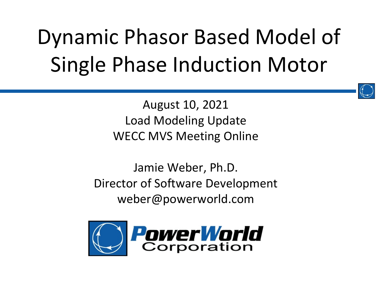### Dynamic Phasor Based Model of Single Phase Induction Motor



August 10, 2021 Load Modeling Update WECC MVS Meeting Online

Jamie Weber, Ph.D. Director of Software Development weber@powerworld.com

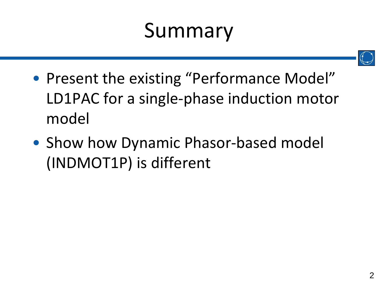#### Summary



- Present the existing "Performance Model" LD1PAC for a single-phase induction motor model
- Show how Dynamic Phasor-based model (INDMOT1P) is different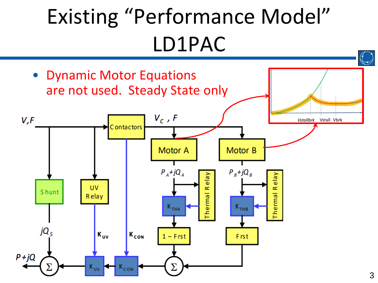### Existing "Performance Model" LD1PAC

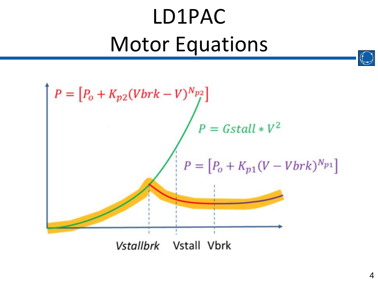### LD1PAC Motor Equations

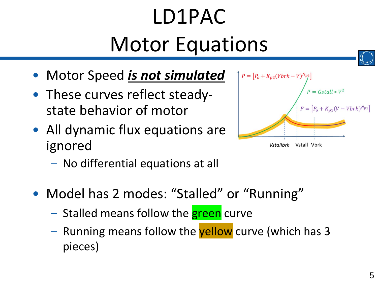# LD1PAC Motor Equations

- Motor Speed *is not simulated*
- These curves reflect steadystate behavior of motor
- All dynamic flux equations are ignored
	- No differential equations at all
- Model has 2 modes: "Stalled" or "Running"
	- Stalled means follow the **green** curve
	- Running means follow the yellow curve (which has 3 pieces)

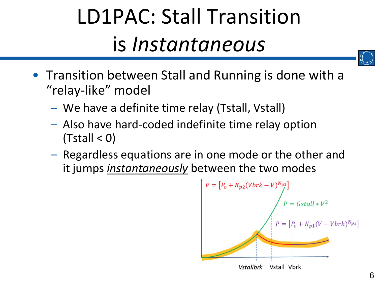### LD1PAC: Stall Transition is *Instantaneous*



- Transition between Stall and Running is done with a "relay-like" model
	- We have a definite time relay (Tstall, Vstall)
	- Also have hard-coded indefinite time relay option  $(Tstall < 0)$
	- Regardless equations are in one mode or the other and it jumps *instantaneously* between the two modes

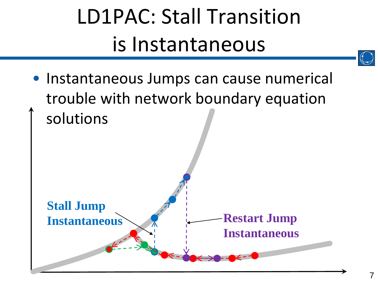### LD1PAC: Stall Transition is Instantaneous

• Instantaneous Jumps can cause numerical trouble with network boundary equation solutions

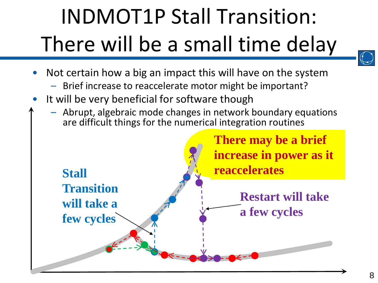# INDMOT1P Stall Transition: There will be a small time delay

- 
- Not certain how a big an impact this will have on the system
	- Brief increase to reaccelerate motor might be important?
- It will be very beneficial for software though

**Stall** 

**Transition** 

**will take a** 

**few cycles**

– Abrupt, algebraic mode changes in network boundary equations are difficult things for the numerical integration routines

> **There may be a brief increase in power as it reaccelerates**

> > **Restart will take a few cycles**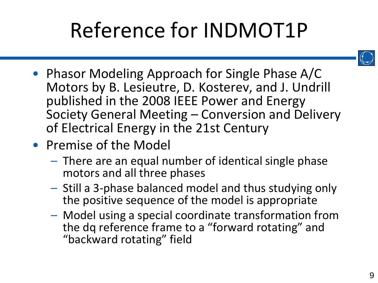### Reference for INDMOT1P



- Phasor Modeling Approach for Single Phase A/C Motors by B. Lesieutre, D. Kosterev, and J. Undrill published in the 2008 IEEE Power and Energy Society General Meeting – Conversion and Delivery of Electrical Energy in the 21st Century
- Premise of the Model
	- There are an equal number of identical single phase motors and all three phases
	- Still a 3-phase balanced model and thus studying only the positive sequence of the model is appropriate
	- Model using a special coordinate transformation from the dq reference frame to a "forward rotating" and "backward rotating" field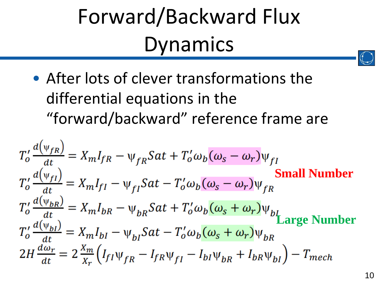### Forward/Backward Flux Dynamics

• After lots of clever transformations the differential equations in the "forward/backward" reference frame are

$$
T_o' \frac{d(\psi_{fR})}{dt} = X_m I_{fR} - \psi_{fR} Sat + T_o' \omega_b (\omega_s - \omega_r) \psi_{fI}
$$
  
\n
$$
T_o' \frac{d(\psi_{fI})}{dt} = X_m I_{fI} - \psi_{fI} Sat - T_o' \omega_b (\omega_s - \omega_r) \psi_{fR}
$$
  
\n
$$
T_o' \frac{d(\psi_{bR})}{dt} = X_m I_{bR} - \psi_{bR} Sat + T_o' \omega_b (\omega_s + \omega_r) \psi_{bI}
$$
  
\n
$$
T_o' \frac{d(\psi_{bI})}{dt} = X_m I_{bI} - \psi_{bI} Sat - T_o' \omega_b (\omega_s + \omega_r) \psi_{bR}
$$
  
\n
$$
2H \frac{d\omega_r}{dt} = 2 \frac{X_m}{X_r} (I_{fI} \psi_{fR} - I_{fR} \psi_{fI} - I_{bI} \psi_{bR} + I_{bR} \psi_{bI}) - T_{mech}
$$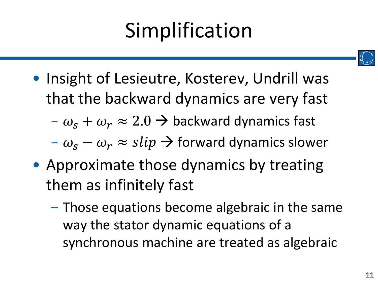### Simplification

- Insight of Lesieutre, Kosterev, Undrill was that the backward dynamics are very fast
	- $-\omega_{\rm s} + \omega_{\rm r} \approx 2.0 \rightarrow$  backward dynamics fast
	- $-\omega_s \omega_r \approx$  slip  $\rightarrow$  forward dynamics slower
- Approximate those dynamics by treating them as infinitely fast
	- Those equations become algebraic in the same way the stator dynamic equations of a synchronous machine are treated as algebraic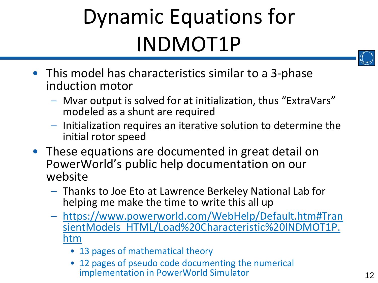# Dynamic Equations for INDMOT1P



- This model has characteristics similar to a 3-phase induction motor
	- Mvar output is solved for at initialization, thus "ExtraVars" modeled as a shunt are required
	- Initialization requires an iterative solution to determine the initial rotor speed
- These equations are documented in great detail on PowerWorld's public help documentation on our website
	- Thanks to Joe Eto at Lawrence Berkeley National Lab for helping me make the time to write this all up
	- https://www.powerworld.com/WebHelp/Default.htm#Tran [sientModels\\_HTML/Load%20Characteristic%20INDMOT1P.](https://www.powerworld.com/WebHelp/Default.htm#TransientModels_HTML/Load%20Characteristic%20INDMOT1P.htm) htm
		- 13 pages of mathematical theory
		- 12 pages of pseudo code documenting the numerical implementation in PowerWorld Simulator